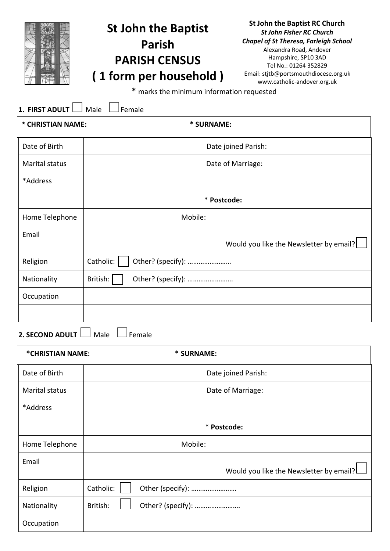|                       | <b>St John the Baptist</b><br><b>Parish</b><br><b>PARISH CENSUS</b><br>(1 form per household)<br>* marks the minimum information requested | <b>St John the Baptist RC Church</b><br><b>St John Fisher RC Church</b><br><b>Chapel of St Theresa, Farleigh School</b><br>Alexandra Road, Andover<br>Hampshire, SP10 3AD<br>Tel No.: 01264 352829<br>Email: stjtb@portsmouthdiocese.org.uk<br>www.catholic-andover.org.uk |  |
|-----------------------|--------------------------------------------------------------------------------------------------------------------------------------------|----------------------------------------------------------------------------------------------------------------------------------------------------------------------------------------------------------------------------------------------------------------------------|--|
| 1. FIRST ADULT        | Male<br>Female                                                                                                                             |                                                                                                                                                                                                                                                                            |  |
| * CHRISTIAN NAME:     | * SURNAME:                                                                                                                                 |                                                                                                                                                                                                                                                                            |  |
| Date of Birth         |                                                                                                                                            | Date joined Parish:                                                                                                                                                                                                                                                        |  |
| <b>Marital status</b> | Date of Marriage:                                                                                                                          |                                                                                                                                                                                                                                                                            |  |
| *Address              |                                                                                                                                            |                                                                                                                                                                                                                                                                            |  |
|                       | * Postcode:                                                                                                                                |                                                                                                                                                                                                                                                                            |  |
| Home Telephone        | Mobile:                                                                                                                                    |                                                                                                                                                                                                                                                                            |  |
| Email                 |                                                                                                                                            | Would you like the Newsletter by email?                                                                                                                                                                                                                                    |  |
| Religion              | Catholic:<br>Other? (specify):                                                                                                             |                                                                                                                                                                                                                                                                            |  |
| Nationality           | British:<br>Other? (specify):                                                                                                              |                                                                                                                                                                                                                                                                            |  |
| Occupation            |                                                                                                                                            |                                                                                                                                                                                                                                                                            |  |

**2. SECOND ADULT** Male **Female** 

| *CHRISTIAN NAME: | * SURNAME:                              |  |
|------------------|-----------------------------------------|--|
| Date of Birth    | Date joined Parish:                     |  |
| Marital status   | Date of Marriage:                       |  |
| *Address         |                                         |  |
|                  | * Postcode:                             |  |
| Home Telephone   | Mobile:                                 |  |
| Email            | Would you like the Newsletter by email? |  |
| Religion         | Catholic:<br>Other (specify):           |  |
| Nationality      | British:<br>Other? (specify):           |  |
| Occupation       |                                         |  |